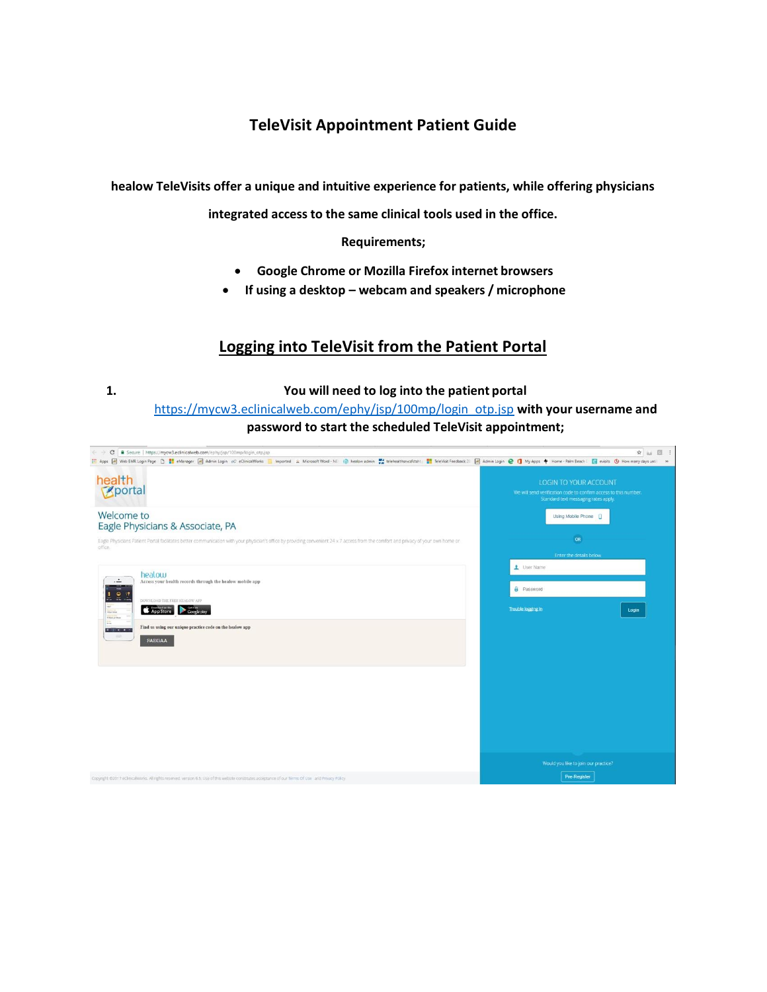## **TeleVisit Appointment Patient Guide**

**healow TeleVisits offer a unique and intuitive experience for patients, while offering physicians** 

**integrated access to the same clinical tools used in the office.**

**Requirements;**

- **Google Chrome or Mozilla Firefox internet browsers**
- **If using a desktop – webcam and speakers / microphone**

## **Logging into TeleVisit from the Patient Portal**

**1. You will need to log into the patient portal**

[https://mycw3.eclinicalweb.com/ephy/jsp/100mp/login\\_otp.jsp](https://mycw3.eclinicalweb.com/ephy/jsp/100mp/login_otp.jsp) **with your username and password to start the scheduled TeleVisit appointment;**

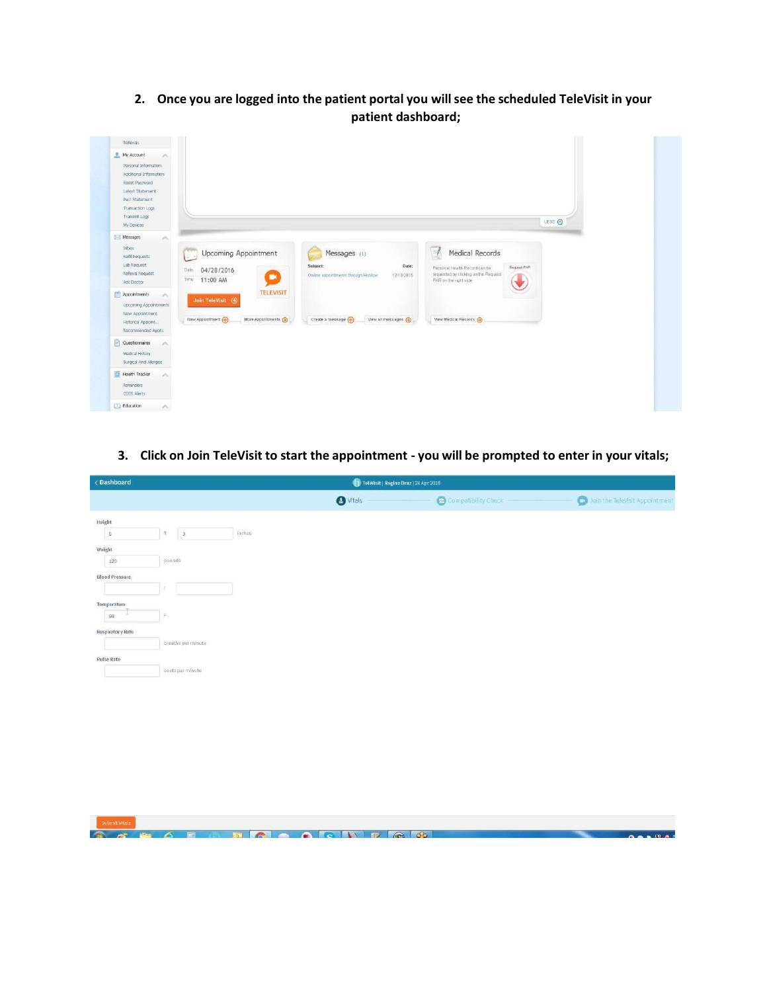**2. Once you are logged into the patient portal you willsee the scheduled TeleVisit in your patient dashboard;**



3. Click on Join TeleVisit to start the appointment - you will be prompted to enter in your vitals;

| < Dashboard                         |                                  | TeleVisit   Regina Druz   28 Apr 2016 |                     |                                |
|-------------------------------------|----------------------------------|---------------------------------------|---------------------|--------------------------------|
|                                     |                                  | <b>O</b> Vitals                       | Compatibility Check | Join the TeleVisit Appointment |
| Height                              |                                  |                                       |                     |                                |
| $\sqrt{5}$                          | inches<br>$\bar{\Pi}$<br>$\,$ 3. |                                       |                     |                                |
| Weight<br>120                       | pounds                           |                                       |                     |                                |
| <b>Blood Pressure</b>               |                                  |                                       |                     |                                |
| Temperature                         |                                  |                                       |                     |                                |
| 98<br>u.<br><b>Respiratory Rate</b> | $\mathsf F$                      |                                       |                     |                                |
|                                     | breaths per minute               |                                       |                     |                                |
| Pulse Rate                          |                                  |                                       |                     |                                |
|                                     | baats per minute                 |                                       |                     |                                |
|                                     |                                  |                                       |                     |                                |
|                                     |                                  |                                       |                     |                                |
|                                     |                                  |                                       |                     |                                |
|                                     |                                  |                                       |                     |                                |
|                                     |                                  |                                       |                     |                                |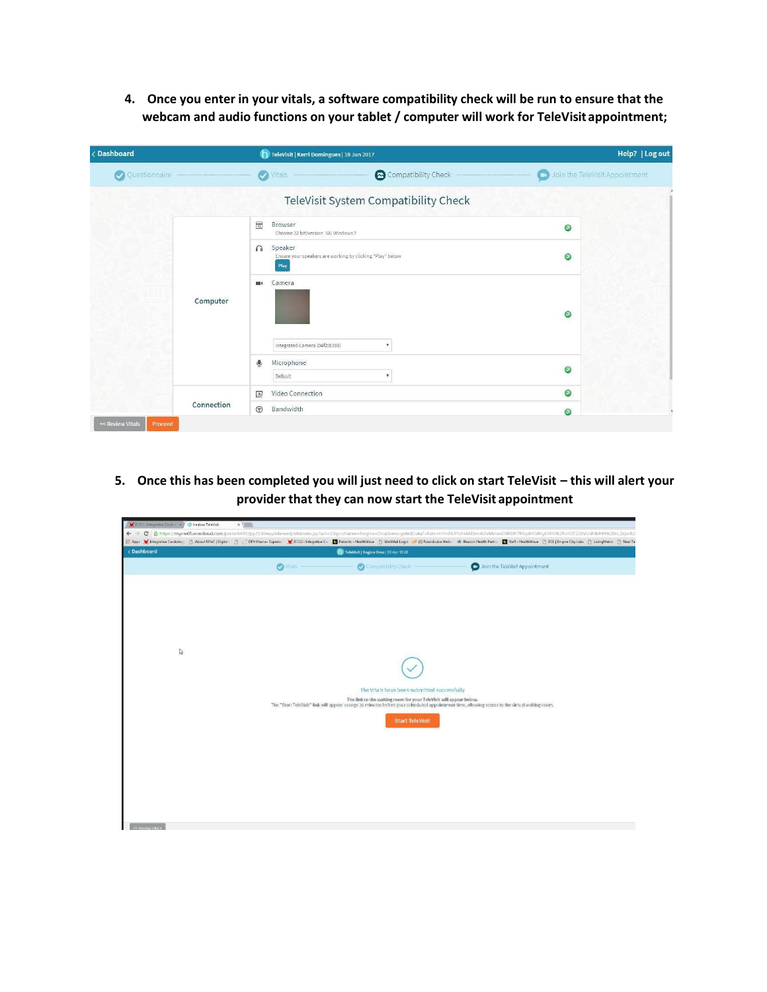**4. Once you enter in your vitals, a software compatibility check will be run to ensure that the webcam and audio functions on your tablet / computer will work for TeleVisitappointment;**

| < Dashboard   | TeleVisit   Kerri Domingues   19 Jun 2017                                                | Help?   Log out                          |
|---------------|------------------------------------------------------------------------------------------|------------------------------------------|
| Questionnaire | Compatibility Check<br><b>Vitals</b><br>$\bullet$                                        | <b>CO</b> Join the TeleVisit Appointment |
|               | TeleVisit System Compatibility Check                                                     |                                          |
|               | $\sqrt{2}$<br>Browser<br>Chrome 32 bit(version 58) Windows 7                             | $\bullet$                                |
|               | Speaker<br>$\Omega$<br>Ensure your speakers are working by clicking "Play" below<br>Play | $\bullet$                                |
| Computer      | Camera<br>$\blacksquare$                                                                 | $\bullet$                                |
|               | Integrated Camera (04f2:b398)<br>$\boldsymbol{\mathrm{v}}$<br>ଭ<br>Microphone            | $\circledcirc$                           |
|               | Default<br>$\boldsymbol{\mathrm{v}}$<br>Video Connection<br>$\mathbb{E}$                 | $\circledcirc$                           |
| Connection    | $\odot$<br>Bandwidth                                                                     | $\odot$                                  |

**5.** Once this has been completed you will just need to click on start TeleVisit – this will alert your **provider that they can now start the TeleVisit appointment**

| CCLI - Integrative Cardin X / ( ) healow TeleVisit                                                                                                                                                                             | x                                                                                                                                                                                           |                 |                                                                                                                                               |                                                                    |  |                                |  |  |
|--------------------------------------------------------------------------------------------------------------------------------------------------------------------------------------------------------------------------------|---------------------------------------------------------------------------------------------------------------------------------------------------------------------------------------------|-----------------|-----------------------------------------------------------------------------------------------------------------------------------------------|--------------------------------------------------------------------|--|--------------------------------|--|--|
| $\leftarrow$                                                                                                                                                                                                                   | C - https://mycw65.ecwdoud.com/portal8480/jsp/100mp/telemed/telendec.jsp?act=18proName=Regina+Druz8encryptedDataToTele=KYmRLPloN4ATbmASVMrwsEURDR7PGpJHGAhy00P0%2FvXOTZJBVUdNMH9%2BrL2zjw%2 |                 |                                                                                                                                               |                                                                    |  |                                |  |  |
| Hoppy Chrisgretive Cardiology B About NYeC   Digital B C OFH Home-Superior C ICCLI-Integrative C   Patients - HealthWave B WebMailLogin @ G) Roundcube Web: 4 Beacon Health Party: I Staff - HealthWave B ECL   Empire City Le |                                                                                                                                                                                             |                 |                                                                                                                                               |                                                                    |  |                                |  |  |
| < Dashboard                                                                                                                                                                                                                    |                                                                                                                                                                                             |                 | TeleVisit   Regina Druz   28 Apr 2016                                                                                                         |                                                                    |  |                                |  |  |
|                                                                                                                                                                                                                                |                                                                                                                                                                                             | <b>O</b> Vitals |                                                                                                                                               | Compatibility Check                                                |  | Join the TeleVisit Appointment |  |  |
|                                                                                                                                                                                                                                |                                                                                                                                                                                             |                 |                                                                                                                                               |                                                                    |  |                                |  |  |
|                                                                                                                                                                                                                                |                                                                                                                                                                                             |                 |                                                                                                                                               |                                                                    |  |                                |  |  |
|                                                                                                                                                                                                                                |                                                                                                                                                                                             |                 |                                                                                                                                               |                                                                    |  |                                |  |  |
|                                                                                                                                                                                                                                |                                                                                                                                                                                             |                 |                                                                                                                                               |                                                                    |  |                                |  |  |
|                                                                                                                                                                                                                                |                                                                                                                                                                                             |                 |                                                                                                                                               |                                                                    |  |                                |  |  |
| $\mathbb{Q}$                                                                                                                                                                                                                   |                                                                                                                                                                                             |                 |                                                                                                                                               |                                                                    |  |                                |  |  |
|                                                                                                                                                                                                                                |                                                                                                                                                                                             |                 |                                                                                                                                               |                                                                    |  |                                |  |  |
|                                                                                                                                                                                                                                |                                                                                                                                                                                             |                 |                                                                                                                                               | The Vitals have been submitted successfully                        |  |                                |  |  |
|                                                                                                                                                                                                                                |                                                                                                                                                                                             |                 | The "Start TeleVisit" link will appear orange 30 minutes before your scheduled appointment time, allowing access to the virtual waiting room. | The link to the waiting room for your TeleVisit will appear below. |  |                                |  |  |
|                                                                                                                                                                                                                                |                                                                                                                                                                                             |                 |                                                                                                                                               |                                                                    |  |                                |  |  |
|                                                                                                                                                                                                                                |                                                                                                                                                                                             |                 |                                                                                                                                               | <b>Start TeleVisit</b>                                             |  |                                |  |  |
|                                                                                                                                                                                                                                |                                                                                                                                                                                             |                 |                                                                                                                                               |                                                                    |  |                                |  |  |
|                                                                                                                                                                                                                                |                                                                                                                                                                                             |                 |                                                                                                                                               |                                                                    |  |                                |  |  |
|                                                                                                                                                                                                                                |                                                                                                                                                                                             |                 |                                                                                                                                               |                                                                    |  |                                |  |  |
|                                                                                                                                                                                                                                |                                                                                                                                                                                             |                 |                                                                                                                                               |                                                                    |  |                                |  |  |
|                                                                                                                                                                                                                                |                                                                                                                                                                                             |                 |                                                                                                                                               |                                                                    |  |                                |  |  |
|                                                                                                                                                                                                                                |                                                                                                                                                                                             |                 |                                                                                                                                               |                                                                    |  |                                |  |  |
|                                                                                                                                                                                                                                |                                                                                                                                                                                             |                 |                                                                                                                                               |                                                                    |  |                                |  |  |
| << Raylew Vitals                                                                                                                                                                                                               |                                                                                                                                                                                             |                 |                                                                                                                                               |                                                                    |  |                                |  |  |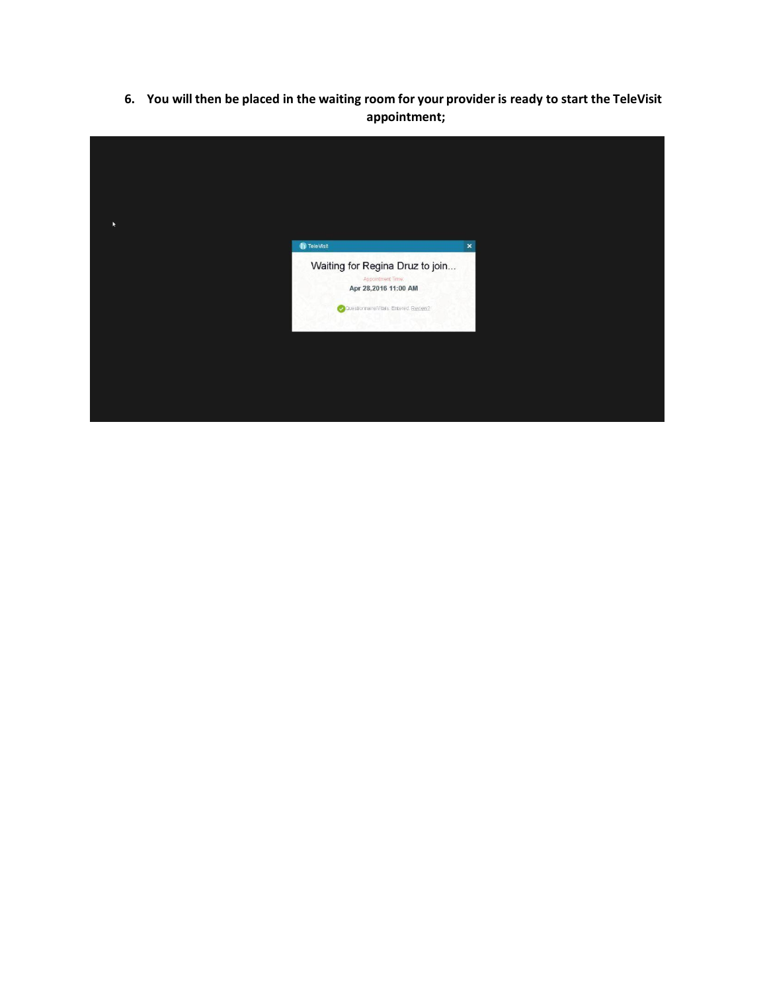6. You will then be placed in the waiting room for your provider is ready to start the TeleVisit **appointment;**

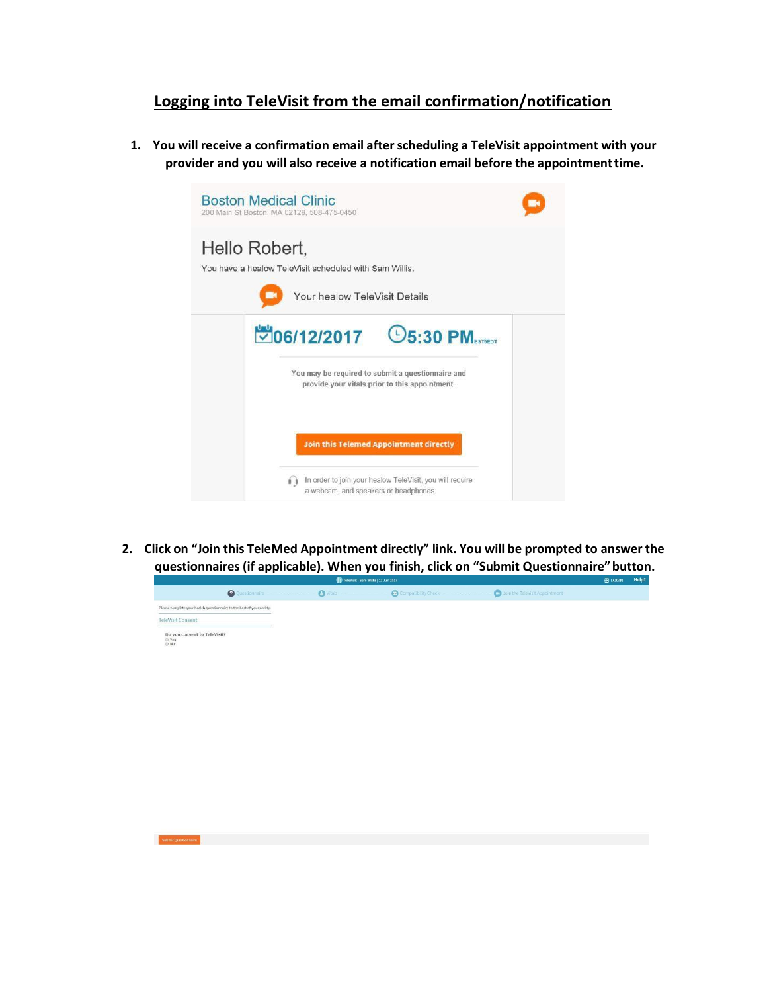## **Logging into TeleVisit from the email confirmation/notification**

**1. You will receive a confirmation email afterscheduling a TeleVisit appointment with your provider and you will also receive a notification email before the appointmenttime.**



**2. Click on "Join this TeleMed Appointment directly" link. You will be prompted to answer the questionnaires (if applicable). When you finish, click on "Submit Questionnaire"button.**

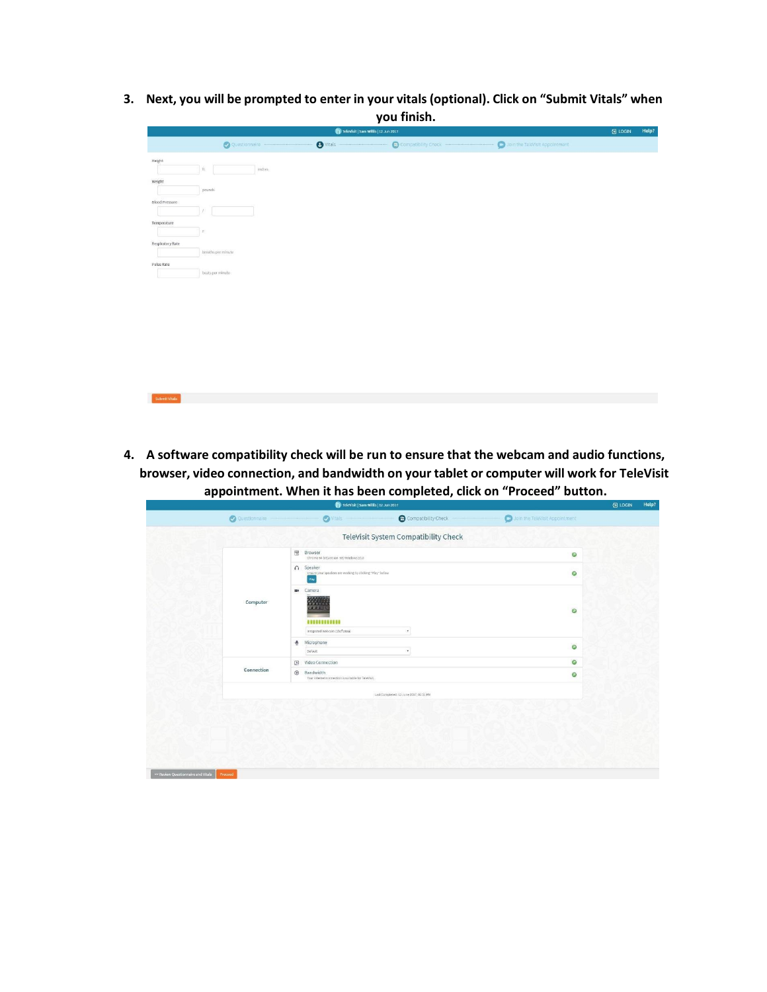**3. Next, you will be prompted to enter in your vitals(optional). Click on "Submit Vitals" when you finish.**

|                      |                    | Televisit   Sam Willis   12 Jun 2017 |                     |                                | 日 LOGIN | Help? |  |  |
|----------------------|--------------------|--------------------------------------|---------------------|--------------------------------|---------|-------|--|--|
|                      | Questionnaire      | $\bullet$ vitals                     | Compatibility Check | Join the TeleVisit Appointment |         |       |  |  |
| Height               |                    |                                      |                     |                                |         |       |  |  |
| 北.                   | inches             |                                      |                     |                                |         |       |  |  |
| weight               |                    |                                      |                     |                                |         |       |  |  |
|                      | pounds             |                                      |                     |                                |         |       |  |  |
| Blood Pressure<br>-1 |                    |                                      |                     |                                |         |       |  |  |
| Temperature          |                    |                                      |                     |                                |         |       |  |  |
| F.                   |                    |                                      |                     |                                |         |       |  |  |
| Respiratory Rate     |                    |                                      |                     |                                |         |       |  |  |
|                      | breaths per minute |                                      |                     |                                |         |       |  |  |
| Pulse Rate           |                    |                                      |                     |                                |         |       |  |  |
|                      | beats per minute   |                                      |                     |                                |         |       |  |  |
|                      |                    |                                      |                     |                                |         |       |  |  |
|                      |                    |                                      |                     |                                |         |       |  |  |
|                      |                    |                                      |                     |                                |         |       |  |  |
|                      |                    |                                      |                     |                                |         |       |  |  |
|                      |                    |                                      |                     |                                |         |       |  |  |
|                      |                    |                                      |                     |                                |         |       |  |  |
|                      |                    |                                      |                     |                                |         |       |  |  |
|                      |                    |                                      |                     |                                |         |       |  |  |
|                      |                    |                                      |                     |                                |         |       |  |  |
|                      |                    |                                      |                     |                                |         |       |  |  |

**4. A software compatibility check will be run to ensure that the webcam and audio functions, browser, video connection, and bandwidth on your tablet or computer will work for TeleVisit appointment. When it has been completed, click on "Proceed" button.**

|            | $\overline{\Xi}$<br>Browser                                                                  |                                        | $\circ$ |
|------------|----------------------------------------------------------------------------------------------|----------------------------------------|---------|
|            | Chrome 64 bit(version 58) Windows 10.0                                                       |                                        |         |
|            | n Speaker<br>Ensure your speakers are working by clicking "Play" below<br>Play               |                                        | $\circ$ |
| Computer   | Camera<br><b>MK</b><br>羅羅<br><b>COLLEGE</b><br>,,,,,,,,,,,,<br>Integrated Webcam (1hcf:28aa) | $\pmb{\mathrm{v}}$                     | $\circ$ |
|            | Microphone<br>۰<br>Default                                                                   | $\scriptstyle\rm v$                    | $\circ$ |
|            | Video Connection<br>$\Box$                                                                   |                                        | $\circ$ |
| Connection | $\odot$<br>Bandwidth<br>Your internet connection is suitable for TeleVisit.                  |                                        | $\circ$ |
|            |                                                                                              | Last Completed: 12 June 2017, 02:51 PM |         |
|            |                                                                                              |                                        |         |